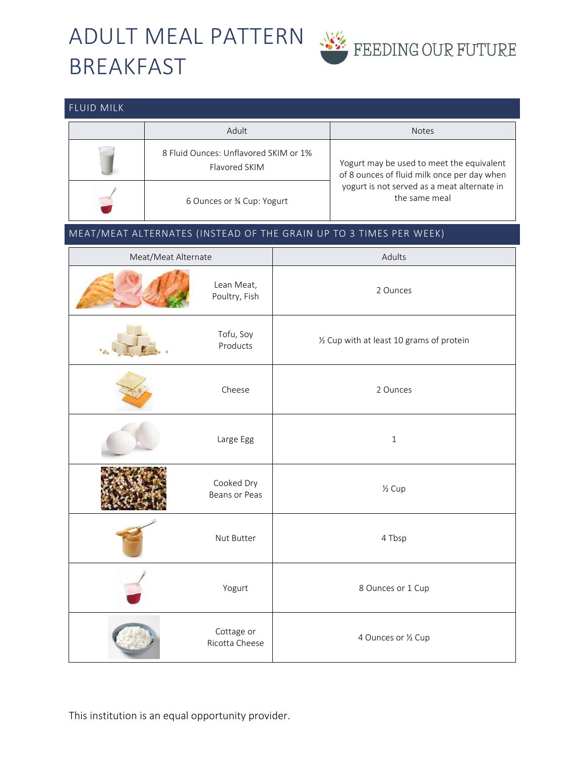## ADULT MEAL PATTERN BREAKFAST

FLUID MILK



## Adult Notes (Notes) and the set of the set of the set of the set of the set of the set of the set of the set o 8 Fluid Ounces: Unflavored SKIM or 1% Flavored SKIM Yogurt may be used to meet the equivalent of 8 ounces of fluid milk once per day when yogurt is not served as a meat alternate in the same meal 6 Ounces or ¾ Cup: Yogurt MEAT/MEAT ALTERNATES (INSTEAD OF THE GRAIN UP TO 3 TIMES PER WEEK) Meat/Meat Alternate Adults Adults Lean Meat, Poultry, Fish 2 Ounces Tofu, Soy Products and the Muslim of the Muslim Products Products and Muslim Muslim Muslim Muslim Muslim Muslim Muslim Mu Cheese 2 Ounces Large Egg and the state of the state of the state of the state of the state of the state of the state of the state of the state of the state of the state of the state of the state of the state of the state of the state of Cooked Dry ECONED BY THE BEAM OF PEAS Y<sub>2</sub> Cup Nut Butter 2012 1 A Tbsp Yogurt and the Sounces or 1 Cup Cottage or Ricotta Cheese **4 Ounces or ½ Cup**

This institution is an equal opportunity provider.